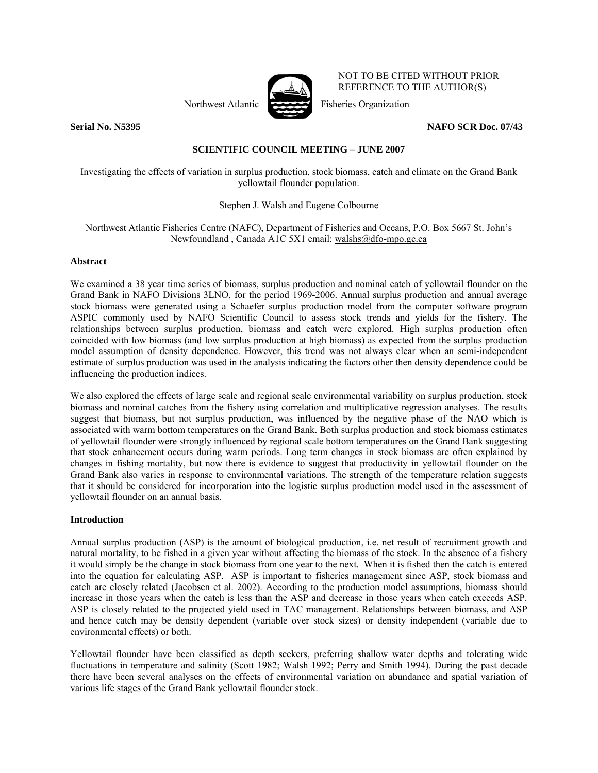

NOT TO BE CITED WITHOUT PRIOR REFERENCE TO THE AUTHOR(S)

Northwest Atlantic Fisheries Organization

**Serial No. N5395 NAFO SCR Doc. 07/43** 

# **SCIENTIFIC COUNCIL MEETING – JUNE 2007**

Investigating the effects of variation in surplus production, stock biomass, catch and climate on the Grand Bank yellowtail flounder population.

# Stephen J. Walsh and Eugene Colbourne

# Northwest Atlantic Fisheries Centre (NAFC), Department of Fisheries and Oceans, P.O. Box 5667 St. John's Newfoundland , Canada A1C 5X1 email: walshs@dfo-mpo.gc.ca

# **Abstract**

We examined a 38 year time series of biomass, surplus production and nominal catch of yellowtail flounder on the Grand Bank in NAFO Divisions 3LNO, for the period 1969-2006. Annual surplus production and annual average stock biomass were generated using a Schaefer surplus production model from the computer software program ASPIC commonly used by NAFO Scientific Council to assess stock trends and yields for the fishery. The relationships between surplus production, biomass and catch were explored. High surplus production often coincided with low biomass (and low surplus production at high biomass) as expected from the surplus production model assumption of density dependence. However, this trend was not always clear when an semi-independent estimate of surplus production was used in the analysis indicating the factors other then density dependence could be influencing the production indices.

We also explored the effects of large scale and regional scale environmental variability on surplus production, stock biomass and nominal catches from the fishery using correlation and multiplicative regression analyses. The results suggest that biomass, but not surplus production, was influenced by the negative phase of the NAO which is associated with warm bottom temperatures on the Grand Bank. Both surplus production and stock biomass estimates of yellowtail flounder were strongly influenced by regional scale bottom temperatures on the Grand Bank suggesting that stock enhancement occurs during warm periods. Long term changes in stock biomass are often explained by changes in fishing mortality, but now there is evidence to suggest that productivity in yellowtail flounder on the Grand Bank also varies in response to environmental variations. The strength of the temperature relation suggests that it should be considered for incorporation into the logistic surplus production model used in the assessment of yellowtail flounder on an annual basis.

### **Introduction**

Annual surplus production (ASP) is the amount of biological production, i.e. net result of recruitment growth and natural mortality, to be fished in a given year without affecting the biomass of the stock. In the absence of a fishery it would simply be the change in stock biomass from one year to the next. When it is fished then the catch is entered into the equation for calculating ASP. ASP is important to fisheries management since ASP, stock biomass and catch are closely related (Jacobsen et al. 2002). According to the production model assumptions, biomass should increase in those years when the catch is less than the ASP and decrease in those years when catch exceeds ASP. ASP is closely related to the projected yield used in TAC management. Relationships between biomass, and ASP and hence catch may be density dependent (variable over stock sizes) or density independent (variable due to environmental effects) or both.

Yellowtail flounder have been classified as depth seekers, preferring shallow water depths and tolerating wide fluctuations in temperature and salinity (Scott 1982; Walsh 1992; Perry and Smith 1994). During the past decade there have been several analyses on the effects of environmental variation on abundance and spatial variation of various life stages of the Grand Bank yellowtail flounder stock.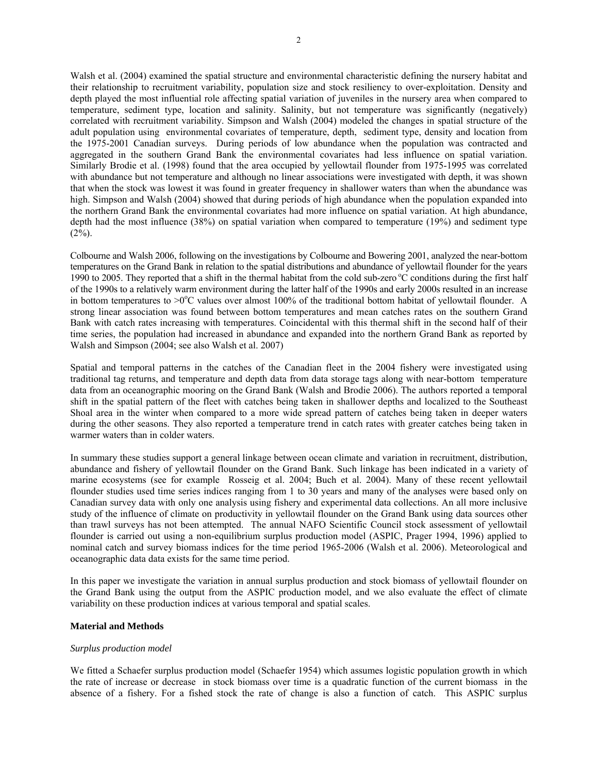Walsh et al. (2004) examined the spatial structure and environmental characteristic defining the nursery habitat and their relationship to recruitment variability, population size and stock resiliency to over-exploitation. Density and depth played the most influential role affecting spatial variation of juveniles in the nursery area when compared to temperature, sediment type, location and salinity. Salinity, but not temperature was significantly (negatively) correlated with recruitment variability. Simpson and Walsh (2004) modeled the changes in spatial structure of the adult population using environmental covariates of temperature, depth, sediment type, density and location from the 1975-2001 Canadian surveys. During periods of low abundance when the population was contracted and aggregated in the southern Grand Bank the environmental covariates had less influence on spatial variation. Similarly Brodie et al. (1998) found that the area occupied by yellowtail flounder from 1975-1995 was correlated with abundance but not temperature and although no linear associations were investigated with depth, it was shown that when the stock was lowest it was found in greater frequency in shallower waters than when the abundance was high. Simpson and Walsh (2004) showed that during periods of high abundance when the population expanded into the northern Grand Bank the environmental covariates had more influence on spatial variation. At high abundance, depth had the most influence (38%) on spatial variation when compared to temperature (19%) and sediment type  $(2\%)$ .

Colbourne and Walsh 2006, following on the investigations by Colbourne and Bowering 2001, analyzed the near-bottom temperatures on the Grand Bank in relation to the spatial distributions and abundance of yellowtail flounder for the years 1990 to 2005. They reported that a shift in the thermal habitat from the cold sub-zero  $\degree$ C conditions during the first half of the 1990s to a relatively warm environment during the latter half of the 1990s and early 2000s resulted in an increase in bottom temperatures to  $>0$ <sup>o</sup>C values over almost 100% of the traditional bottom habitat of yellowtail flounder. A strong linear association was found between bottom temperatures and mean catches rates on the southern Grand Bank with catch rates increasing with temperatures. Coincidental with this thermal shift in the second half of their time series, the population had increased in abundance and expanded into the northern Grand Bank as reported by Walsh and Simpson (2004; see also Walsh et al. 2007)

Spatial and temporal patterns in the catches of the Canadian fleet in the 2004 fishery were investigated using traditional tag returns, and temperature and depth data from data storage tags along with near-bottom temperature data from an oceanographic mooring on the Grand Bank (Walsh and Brodie 2006). The authors reported a temporal shift in the spatial pattern of the fleet with catches being taken in shallower depths and localized to the Southeast Shoal area in the winter when compared to a more wide spread pattern of catches being taken in deeper waters during the other seasons. They also reported a temperature trend in catch rates with greater catches being taken in warmer waters than in colder waters.

In summary these studies support a general linkage between ocean climate and variation in recruitment, distribution, abundance and fishery of yellowtail flounder on the Grand Bank. Such linkage has been indicated in a variety of marine ecosystems (see for example Rosseig et al. 2004; Buch et al. 2004). Many of these recent yellowtail flounder studies used time series indices ranging from 1 to 30 years and many of the analyses were based only on Canadian survey data with only one analysis using fishery and experimental data collections. An all more inclusive study of the influence of climate on productivity in yellowtail flounder on the Grand Bank using data sources other than trawl surveys has not been attempted. The annual NAFO Scientific Council stock assessment of yellowtail flounder is carried out using a non-equilibrium surplus production model (ASPIC, Prager 1994, 1996) applied to nominal catch and survey biomass indices for the time period 1965-2006 (Walsh et al. 2006). Meteorological and oceanographic data data exists for the same time period.

In this paper we investigate the variation in annual surplus production and stock biomass of yellowtail flounder on the Grand Bank using the output from the ASPIC production model, and we also evaluate the effect of climate variability on these production indices at various temporal and spatial scales.

# **Material and Methods**

### *Surplus production model*

We fitted a Schaefer surplus production model (Schaefer 1954) which assumes logistic population growth in which the rate of increase or decrease in stock biomass over time is a quadratic function of the current biomass in the absence of a fishery. For a fished stock the rate of change is also a function of catch. This ASPIC surplus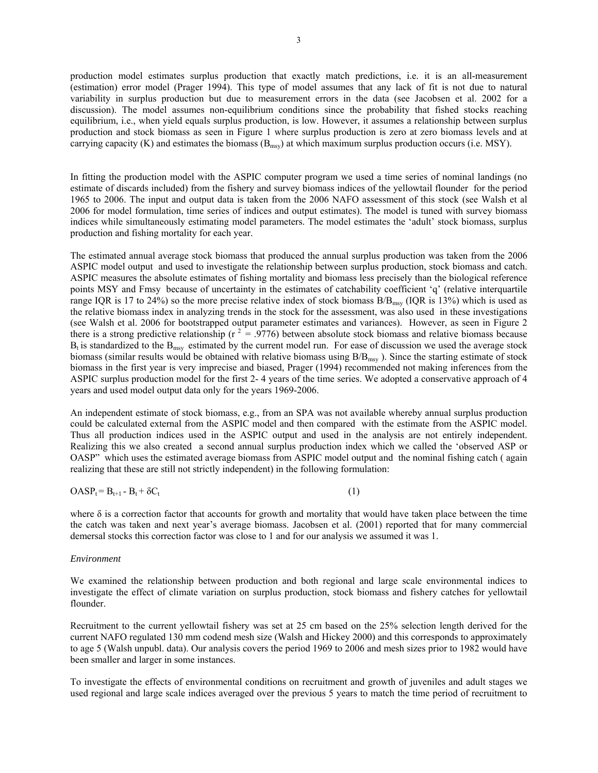production model estimates surplus production that exactly match predictions, i.e. it is an all-measurement (estimation) error model (Prager 1994). This type of model assumes that any lack of fit is not due to natural variability in surplus production but due to measurement errors in the data (see Jacobsen et al. 2002 for a discussion). The model assumes non-equilibrium conditions since the probability that fished stocks reaching equilibrium, i.e., when yield equals surplus production, is low. However, it assumes a relationship between surplus production and stock biomass as seen in Figure 1 where surplus production is zero at zero biomass levels and at carrying capacity (K) and estimates the biomass  $(B_{msv})$  at which maximum surplus production occurs (i.e. MSY).

In fitting the production model with the ASPIC computer program we used a time series of nominal landings (no estimate of discards included) from the fishery and survey biomass indices of the yellowtail flounder for the period 1965 to 2006. The input and output data is taken from the 2006 NAFO assessment of this stock (see Walsh et al 2006 for model formulation, time series of indices and output estimates). The model is tuned with survey biomass indices while simultaneously estimating model parameters. The model estimates the 'adult' stock biomass, surplus production and fishing mortality for each year.

The estimated annual average stock biomass that produced the annual surplus production was taken from the 2006 ASPIC model output and used to investigate the relationship between surplus production, stock biomass and catch. ASPIC measures the absolute estimates of fishing mortality and biomass less precisely than the biological reference points MSY and Fmsy because of uncertainty in the estimates of catchability coefficient 'q' (relative interquartile range IQR is 17 to 24%) so the more precise relative index of stock biomass  $B/B<sub>msy</sub>$  (IQR is 13%) which is used as the relative biomass index in analyzing trends in the stock for the assessment, was also used in these investigations (see Walsh et al. 2006 for bootstrapped output parameter estimates and variances). However, as seen in Figure 2 there is a strong predictive relationship ( $r^2 = .9776$ ) between absolute stock biomass and relative biomass because  $B_t$  is standardized to the  $B_{\text{msy}}$  estimated by the current model run. For ease of discussion we used the average stock biomass (similar results would be obtained with relative biomass using B/B<sub>msy</sub>). Since the starting estimate of stock biomass in the first year is very imprecise and biased, Prager (1994) recommended not making inferences from the ASPIC surplus production model for the first 2- 4 years of the time series. We adopted a conservative approach of 4 years and used model output data only for the years 1969-2006.

An independent estimate of stock biomass, e.g., from an SPA was not available whereby annual surplus production could be calculated external from the ASPIC model and then compared with the estimate from the ASPIC model. Thus all production indices used in the ASPIC output and used in the analysis are not entirely independent. Realizing this we also created a second annual surplus production index which we called the 'observed ASP or OASP" which uses the estimated average biomass from ASPIC model output and the nominal fishing catch ( again realizing that these are still not strictly independent) in the following formulation:

$$
OASP_t = B_{t+1} - B_t + \delta C_t \tag{1}
$$

where δ is a correction factor that accounts for growth and mortality that would have taken place between the time the catch was taken and next year's average biomass. Jacobsen et al. (2001) reported that for many commercial demersal stocks this correction factor was close to 1 and for our analysis we assumed it was 1.

#### *Environment*

We examined the relationship between production and both regional and large scale environmental indices to investigate the effect of climate variation on surplus production, stock biomass and fishery catches for yellowtail flounder.

Recruitment to the current yellowtail fishery was set at 25 cm based on the 25% selection length derived for the current NAFO regulated 130 mm codend mesh size (Walsh and Hickey 2000) and this corresponds to approximately to age 5 (Walsh unpubl. data). Our analysis covers the period 1969 to 2006 and mesh sizes prior to 1982 would have been smaller and larger in some instances.

To investigate the effects of environmental conditions on recruitment and growth of juveniles and adult stages we used regional and large scale indices averaged over the previous 5 years to match the time period of recruitment to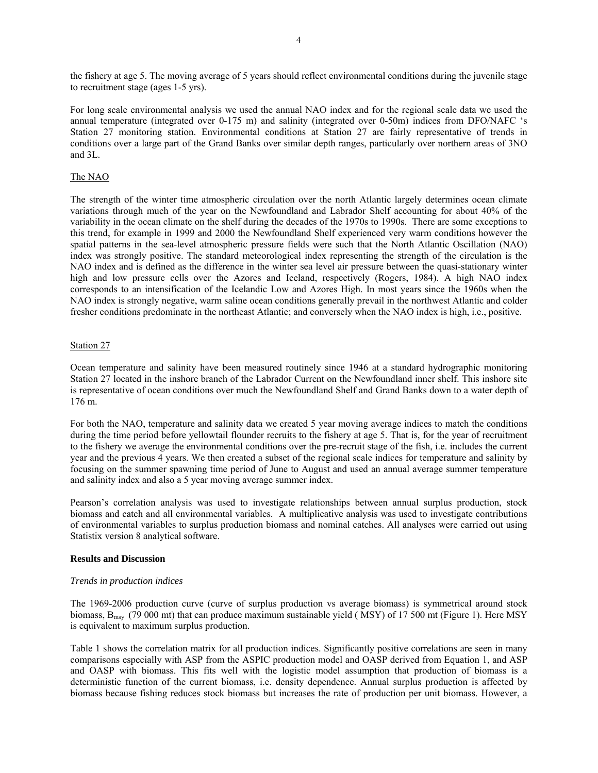the fishery at age 5. The moving average of 5 years should reflect environmental conditions during the juvenile stage to recruitment stage (ages 1-5 yrs).

For long scale environmental analysis we used the annual NAO index and for the regional scale data we used the annual temperature (integrated over 0-175 m) and salinity (integrated over 0-50m) indices from DFO/NAFC 's Station 27 monitoring station. Environmental conditions at Station 27 are fairly representative of trends in conditions over a large part of the Grand Banks over similar depth ranges, particularly over northern areas of 3NO and 3L.

## The NAO

The strength of the winter time atmospheric circulation over the north Atlantic largely determines ocean climate variations through much of the year on the Newfoundland and Labrador Shelf accounting for about 40% of the variability in the ocean climate on the shelf during the decades of the 1970s to 1990s. There are some exceptions to this trend, for example in 1999 and 2000 the Newfoundland Shelf experienced very warm conditions however the spatial patterns in the sea-level atmospheric pressure fields were such that the North Atlantic Oscillation (NAO) index was strongly positive. The standard meteorological index representing the strength of the circulation is the NAO index and is defined as the difference in the winter sea level air pressure between the quasi-stationary winter high and low pressure cells over the Azores and Iceland, respectively (Rogers, 1984). A high NAO index corresponds to an intensification of the Icelandic Low and Azores High. In most years since the 1960s when the NAO index is strongly negative, warm saline ocean conditions generally prevail in the northwest Atlantic and colder fresher conditions predominate in the northeast Atlantic; and conversely when the NAO index is high, i.e., positive.

### Station 27

Ocean temperature and salinity have been measured routinely since 1946 at a standard hydrographic monitoring Station 27 located in the inshore branch of the Labrador Current on the Newfoundland inner shelf. This inshore site is representative of ocean conditions over much the Newfoundland Shelf and Grand Banks down to a water depth of 176 m.

For both the NAO, temperature and salinity data we created 5 year moving average indices to match the conditions during the time period before yellowtail flounder recruits to the fishery at age 5. That is, for the year of recruitment to the fishery we average the environmental conditions over the pre-recruit stage of the fish, i.e. includes the current year and the previous 4 years. We then created a subset of the regional scale indices for temperature and salinity by focusing on the summer spawning time period of June to August and used an annual average summer temperature and salinity index and also a 5 year moving average summer index.

Pearson's correlation analysis was used to investigate relationships between annual surplus production, stock biomass and catch and all environmental variables. A multiplicative analysis was used to investigate contributions of environmental variables to surplus production biomass and nominal catches. All analyses were carried out using Statistix version 8 analytical software.

### **Results and Discussion**

### *Trends in production indices*

The 1969-2006 production curve (curve of surplus production vs average biomass) is symmetrical around stock biomass, B<sub>msy</sub> (79 000 mt) that can produce maximum sustainable yield (MSY) of 17 500 mt (Figure 1). Here MSY is equivalent to maximum surplus production.

Table 1 shows the correlation matrix for all production indices. Significantly positive correlations are seen in many comparisons especially with ASP from the ASPIC production model and OASP derived from Equation 1, and ASP and OASP with biomass. This fits well with the logistic model assumption that production of biomass is a deterministic function of the current biomass, i.e. density dependence. Annual surplus production is affected by biomass because fishing reduces stock biomass but increases the rate of production per unit biomass. However, a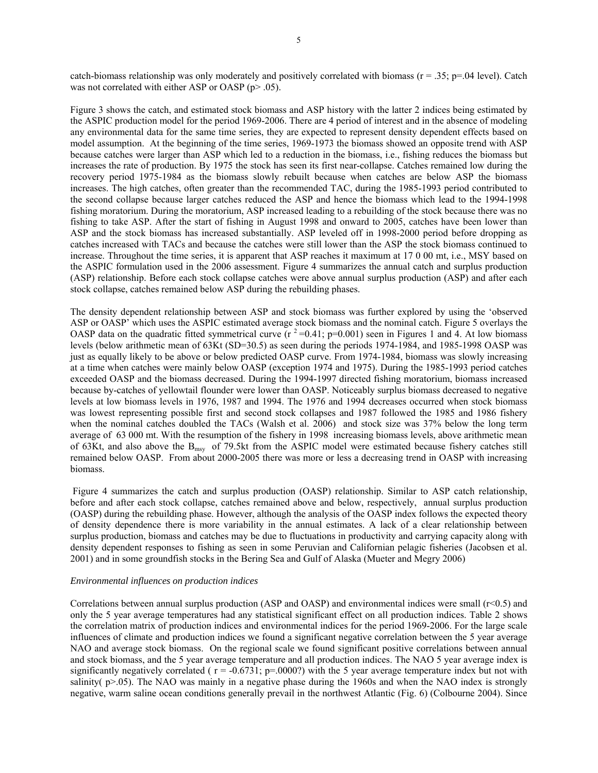catch-biomass relationship was only moderately and positively correlated with biomass ( $r = .35$ ;  $p = .04$  level). Catch was not correlated with either ASP or OASP (p> .05).

Figure 3 shows the catch, and estimated stock biomass and ASP history with the latter 2 indices being estimated by the ASPIC production model for the period 1969-2006. There are 4 period of interest and in the absence of modeling any environmental data for the same time series, they are expected to represent density dependent effects based on model assumption. At the beginning of the time series, 1969-1973 the biomass showed an opposite trend with ASP because catches were larger than ASP which led to a reduction in the biomass, i.e., fishing reduces the biomass but increases the rate of production. By 1975 the stock has seen its first near-collapse. Catches remained low during the recovery period 1975-1984 as the biomass slowly rebuilt because when catches are below ASP the biomass increases. The high catches, often greater than the recommended TAC, during the 1985-1993 period contributed to the second collapse because larger catches reduced the ASP and hence the biomass which lead to the 1994-1998 fishing moratorium. During the moratorium, ASP increased leading to a rebuilding of the stock because there was no fishing to take ASP. After the start of fishing in August 1998 and onward to 2005, catches have been lower than ASP and the stock biomass has increased substantially. ASP leveled off in 1998-2000 period before dropping as catches increased with TACs and because the catches were still lower than the ASP the stock biomass continued to increase. Throughout the time series, it is apparent that ASP reaches it maximum at 17 0 00 mt, i.e., MSY based on the ASPIC formulation used in the 2006 assessment. Figure 4 summarizes the annual catch and surplus production (ASP) relationship. Before each stock collapse catches were above annual surplus production (ASP) and after each stock collapse, catches remained below ASP during the rebuilding phases.

The density dependent relationship between ASP and stock biomass was further explored by using the 'observed ASP or OASP' which uses the ASPIC estimated average stock biomass and the nominal catch. Figure 5 overlays the OASP data on the quadratic fitted symmetrical curve  $(r^2=0.41; p=0.001)$  seen in Figures 1 and 4. At low biomass levels (below arithmetic mean of 63Kt (SD=30.5) as seen during the periods 1974-1984, and 1985-1998 OASP was just as equally likely to be above or below predicted OASP curve. From 1974-1984, biomass was slowly increasing at a time when catches were mainly below OASP (exception 1974 and 1975). During the 1985-1993 period catches exceeded OASP and the biomass decreased. During the 1994-1997 directed fishing moratorium, biomass increased because by-catches of yellowtail flounder were lower than OASP. Noticeably surplus biomass decreased to negative levels at low biomass levels in 1976, 1987 and 1994. The 1976 and 1994 decreases occurred when stock biomass was lowest representing possible first and second stock collapses and 1987 followed the 1985 and 1986 fishery when the nominal catches doubled the TACs (Walsh et al. 2006) and stock size was 37% below the long term average of 63 000 mt. With the resumption of the fishery in 1998 increasing biomass levels, above arithmetic mean of 63Kt, and also above the  $B_{\text{msy}}$  of 79.5kt from the ASPIC model were estimated because fishery catches still remained below OASP. From about 2000-2005 there was more or less a decreasing trend in OASP with increasing biomass.

 Figure 4 summarizes the catch and surplus production (OASP) relationship. Similar to ASP catch relationship, before and after each stock collapse, catches remained above and below, respectively, annual surplus production (OASP) during the rebuilding phase. However, although the analysis of the OASP index follows the expected theory of density dependence there is more variability in the annual estimates. A lack of a clear relationship between surplus production, biomass and catches may be due to fluctuations in productivity and carrying capacity along with density dependent responses to fishing as seen in some Peruvian and Californian pelagic fisheries (Jacobsen et al. 2001) and in some groundfish stocks in the Bering Sea and Gulf of Alaska (Mueter and Megry 2006)

#### *Environmental influences on production indices*

Correlations between annual surplus production (ASP and OASP) and environmental indices were small (r<0.5) and only the 5 year average temperatures had any statistical significant effect on all production indices. Table 2 shows the correlation matrix of production indices and environmental indices for the period 1969-2006. For the large scale influences of climate and production indices we found a significant negative correlation between the 5 year average NAO and average stock biomass. On the regional scale we found significant positive correlations between annual and stock biomass, and the 5 year average temperature and all production indices. The NAO 5 year average index is significantly negatively correlated ( $r = -0.6731$ ; p=.0000?) with the 5 year average temperature index but not with salinity( $p>0.05$ ). The NAO was mainly in a negative phase during the 1960s and when the NAO index is strongly negative, warm saline ocean conditions generally prevail in the northwest Atlantic (Fig. 6) (Colbourne 2004). Since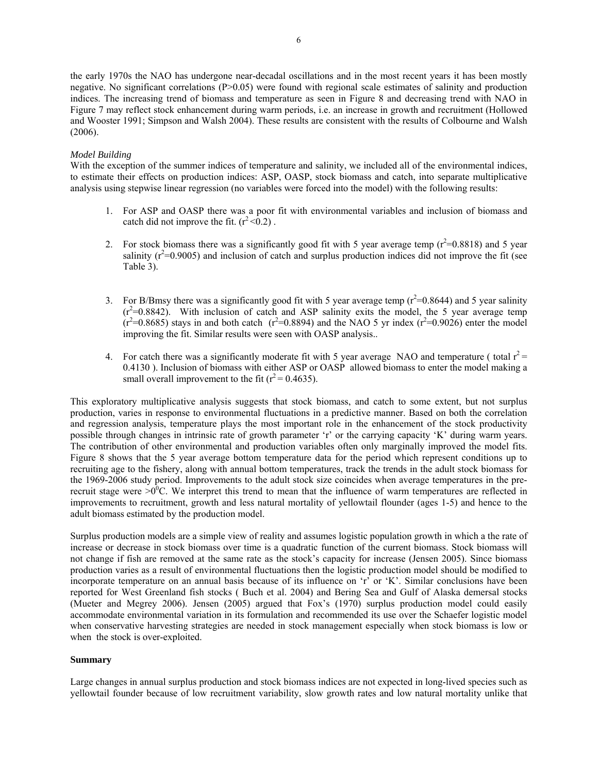the early 1970s the NAO has undergone near-decadal oscillations and in the most recent years it has been mostly negative. No significant correlations (P>0.05) were found with regional scale estimates of salinity and production indices. The increasing trend of biomass and temperature as seen in Figure 8 and decreasing trend with NAO in Figure 7 may reflect stock enhancement during warm periods, i.e. an increase in growth and recruitment (Hollowed and Wooster 1991; Simpson and Walsh 2004). These results are consistent with the results of Colbourne and Walsh (2006).

## *Model Building*

With the exception of the summer indices of temperature and salinity, we included all of the environmental indices, to estimate their effects on production indices: ASP, OASP, stock biomass and catch, into separate multiplicative analysis using stepwise linear regression (no variables were forced into the model) with the following results:

- 1. For ASP and OASP there was a poor fit with environmental variables and inclusion of biomass and catch did not improve the fit.  $(r^2 < 0.2)$ .
- 2. For stock biomass there was a significantly good fit with 5 year average temp ( $r^2$ =0.8818) and 5 year salinity  $(r^2=0.9005)$  and inclusion of catch and surplus production indices did not improve the fit (see Table 3).
- 3. For B/Bmsy there was a significantly good fit with 5 year average temp ( $r^2$ =0.8644) and 5 year salinity  $(r^2=0.8842)$ . With inclusion of catch and ASP salinity exits the model, the 5 year average temp  $(r^2=0.8685)$  stays in and both catch  $(r^2=0.8894)$  and the NAO 5 yr index  $(r^2=0.9026)$  enter the model improving the fit. Similar results were seen with OASP analysis..
- 4. For catch there was a significantly moderate fit with 5 year average NAO and temperature (total  $r^2$  = 0.4130 ). Inclusion of biomass with either ASP or OASP allowed biomass to enter the model making a small overall improvement to the fit  $(r^2 = 0.4635)$ .

This exploratory multiplicative analysis suggests that stock biomass, and catch to some extent, but not surplus production, varies in response to environmental fluctuations in a predictive manner. Based on both the correlation and regression analysis, temperature plays the most important role in the enhancement of the stock productivity possible through changes in intrinsic rate of growth parameter 'r' or the carrying capacity 'K' during warm years. The contribution of other environmental and production variables often only marginally improved the model fits. Figure 8 shows that the 5 year average bottom temperature data for the period which represent conditions up to recruiting age to the fishery, along with annual bottom temperatures, track the trends in the adult stock biomass for the 1969-2006 study period. Improvements to the adult stock size coincides when average temperatures in the prerecruit stage were  $>0$ <sup>0</sup>C. We interpret this trend to mean that the influence of warm temperatures are reflected in improvements to recruitment, growth and less natural mortality of yellowtail flounder (ages 1-5) and hence to the adult biomass estimated by the production model.

Surplus production models are a simple view of reality and assumes logistic population growth in which a the rate of increase or decrease in stock biomass over time is a quadratic function of the current biomass. Stock biomass will not change if fish are removed at the same rate as the stock's capacity for increase (Jensen 2005). Since biomass production varies as a result of environmental fluctuations then the logistic production model should be modified to incorporate temperature on an annual basis because of its influence on 'r' or 'K'. Similar conclusions have been reported for West Greenland fish stocks ( Buch et al. 2004) and Bering Sea and Gulf of Alaska demersal stocks (Mueter and Megrey 2006). Jensen (2005) argued that Fox's (1970) surplus production model could easily accommodate environmental variation in its formulation and recommended its use over the Schaefer logistic model when conservative harvesting strategies are needed in stock management especially when stock biomass is low or when the stock is over-exploited.

# **Summary**

Large changes in annual surplus production and stock biomass indices are not expected in long-lived species such as yellowtail founder because of low recruitment variability, slow growth rates and low natural mortality unlike that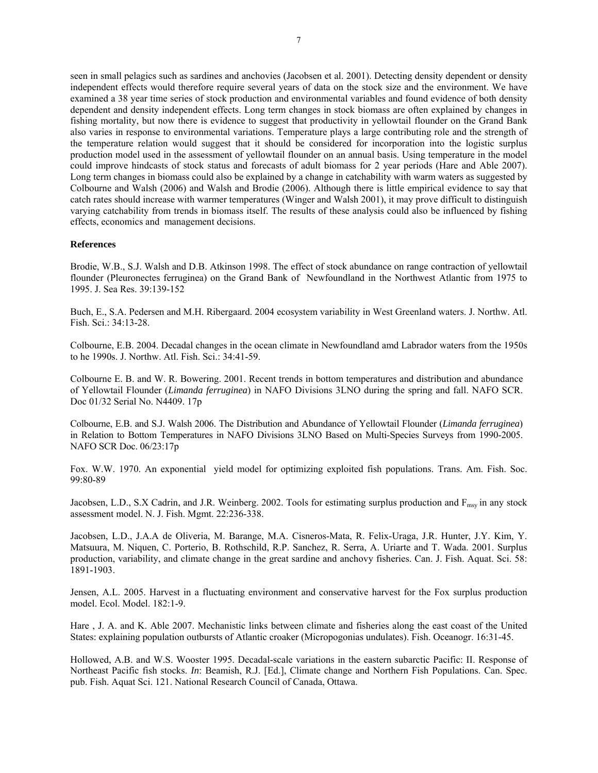seen in small pelagics such as sardines and anchovies (Jacobsen et al. 2001). Detecting density dependent or density independent effects would therefore require several years of data on the stock size and the environment. We have examined a 38 year time series of stock production and environmental variables and found evidence of both density dependent and density independent effects. Long term changes in stock biomass are often explained by changes in fishing mortality, but now there is evidence to suggest that productivity in yellowtail flounder on the Grand Bank also varies in response to environmental variations. Temperature plays a large contributing role and the strength of the temperature relation would suggest that it should be considered for incorporation into the logistic surplus production model used in the assessment of yellowtail flounder on an annual basis. Using temperature in the model could improve hindcasts of stock status and forecasts of adult biomass for 2 year periods (Hare and Able 2007). Long term changes in biomass could also be explained by a change in catchability with warm waters as suggested by Colbourne and Walsh (2006) and Walsh and Brodie (2006). Although there is little empirical evidence to say that catch rates should increase with warmer temperatures (Winger and Walsh 2001), it may prove difficult to distinguish varying catchability from trends in biomass itself. The results of these analysis could also be influenced by fishing effects, economics and management decisions.

### **References**

Brodie, W.B., S.J. Walsh and D.B. Atkinson 1998. The effect of stock abundance on range contraction of yellowtail flounder (Pleuronectes ferruginea) on the Grand Bank of Newfoundland in the Northwest Atlantic from 1975 to 1995. J. Sea Res. 39:139-152

Buch, E., S.A. Pedersen and M.H. Ribergaard. 2004 ecosystem variability in West Greenland waters. J. Northw. Atl. Fish. Sci.: 34:13-28.

Colbourne, E.B. 2004. Decadal changes in the ocean climate in Newfoundland amd Labrador waters from the 1950s to he 1990s. J. Northw. Atl. Fish. Sci.: 34:41-59.

Colbourne E. B. and W. R. Bowering. 2001. Recent trends in bottom temperatures and distribution and abundance of Yellowtail Flounder (*Limanda ferruginea*) in NAFO Divisions 3LNO during the spring and fall. NAFO SCR. Doc 01/32 Serial No. N4409. 17p

Colbourne, E.B. and S.J. Walsh 2006. The Distribution and Abundance of Yellowtail Flounder (*Limanda ferruginea*) in Relation to Bottom Temperatures in NAFO Divisions 3LNO Based on Multi-Species Surveys from 1990-2005. NAFO SCR Doc. 06/23:17p

Fox. W.W. 1970. An exponential yield model for optimizing exploited fish populations. Trans. Am. Fish. Soc. 99:80-89

Jacobsen, L.D., S.X Cadrin, and J.R. Weinberg. 2002. Tools for estimating surplus production and F<sub>msy</sub> in any stock assessment model. N. J. Fish. Mgmt. 22:236-338.

Jacobsen, L.D., J.A.A de Oliveria, M. Barange, M.A. Cisneros-Mata, R. Felix-Uraga, J.R. Hunter, J.Y. Kim, Y. Matsuura, M. Niquen, C. Porterio, B. Rothschild, R.P. Sanchez, R. Serra, A. Uriarte and T. Wada. 2001. Surplus production, variability, and climate change in the great sardine and anchovy fisheries. Can. J. Fish. Aquat. Sci. 58: 1891-1903.

Jensen, A.L. 2005. Harvest in a fluctuating environment and conservative harvest for the Fox surplus production model. Ecol. Model. 182:1-9.

Hare , J. A. and K. Able 2007. Mechanistic links between climate and fisheries along the east coast of the United States: explaining population outbursts of Atlantic croaker (Micropogonias undulates). Fish. Oceanogr. 16:31-45.

Hollowed, A.B. and W.S. Wooster 1995. Decadal-scale variations in the eastern subarctic Pacific: II. Response of Northeast Pacific fish stocks. *In*: Beamish, R.J. [Ed.], Climate change and Northern Fish Populations. Can. Spec. pub. Fish. Aquat Sci. 121. National Research Council of Canada, Ottawa.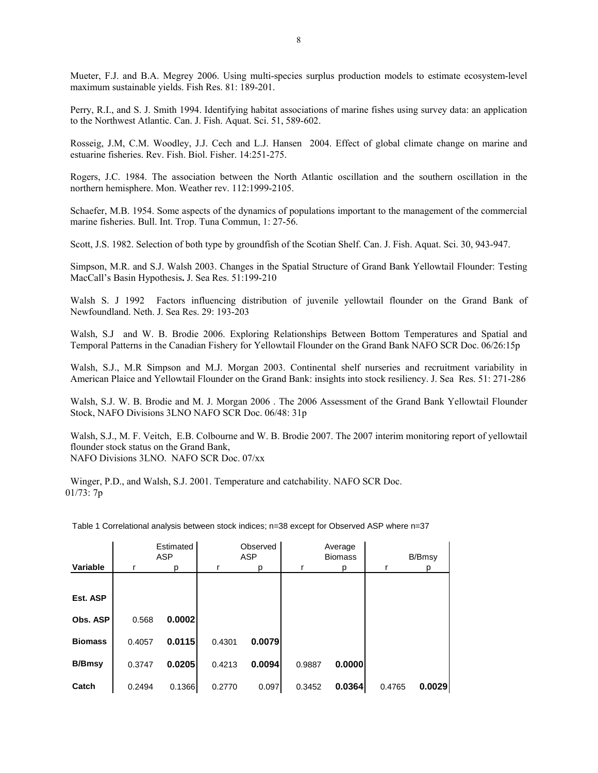Mueter, F.J. and B.A. Megrey 2006. Using multi-species surplus production models to estimate ecosystem-level maximum sustainable yields. Fish Res. 81: 189-201.

Perry, R.I., and S. J. Smith 1994. Identifying habitat associations of marine fishes using survey data: an application to the Northwest Atlantic. Can. J. Fish. Aquat. Sci. 51, 589-602.

Rosseig, J.M, C.M. Woodley, J.J. Cech and L.J. Hansen 2004. Effect of global climate change on marine and estuarine fisheries. Rev. Fish. Biol. Fisher. 14:251-275.

Rogers, J.C. 1984. The association between the North Atlantic oscillation and the southern oscillation in the northern hemisphere. Mon. Weather rev. 112:1999-2105.

Schaefer, M.B. 1954. Some aspects of the dynamics of populations important to the management of the commercial marine fisheries. Bull. Int. Trop. Tuna Commun, 1: 27-56.

Scott, J.S. 1982. Selection of both type by groundfish of the Scotian Shelf. Can. J. Fish. Aquat. Sci. 30, 943-947.

Simpson, M.R. and S.J. Walsh 2003. Changes in the Spatial Structure of Grand Bank Yellowtail Flounder: Testing MacCall's Basin Hypothesis**.** J. Sea Res. 51:199-210

Walsh S. J 1992 Factors influencing distribution of juvenile yellowtail flounder on the Grand Bank of Newfoundland. Neth. J. Sea Res. 29: 193-203

Walsh, S.J and W. B. Brodie 2006. Exploring Relationships Between Bottom Temperatures and Spatial and Temporal Patterns in the Canadian Fishery for Yellowtail Flounder on the Grand Bank NAFO SCR Doc. 06/26:15p

Walsh, S.J., M.R Simpson and M.J. Morgan 2003. Continental shelf nurseries and recruitment variability in American Plaice and Yellowtail Flounder on the Grand Bank: insights into stock resiliency. J. Sea Res. 51: 271-286

Walsh, S.J. W. B. Brodie and M. J. Morgan 2006 . The 2006 Assessment of the Grand Bank Yellowtail Flounder Stock, NAFO Divisions 3LNO NAFO SCR Doc. 06/48: 31p

Walsh, S.J., M. F. Veitch, E.B. Colbourne and W. B. Brodie 2007. The 2007 interim monitoring report of yellowtail flounder stock status on the Grand Bank, NAFO Divisions 3LNO. NAFO SCR Doc. 07/xx

Winger, P.D., and Walsh, S.J. 2001. Temperature and catchability. NAFO SCR Doc. 01/73: 7p

|                |        | Estimated<br>ASP |        | Observed<br>ASP |        | Average<br><b>Biomass</b> |        | B/Bmsy |
|----------------|--------|------------------|--------|-----------------|--------|---------------------------|--------|--------|
| Variable       |        | р                |        | D               |        |                           |        | D      |
|                |        |                  |        |                 |        |                           |        |        |
| Est. ASP       |        |                  |        |                 |        |                           |        |        |
| Obs. ASP       | 0.568  | 0.0002           |        |                 |        |                           |        |        |
| <b>Biomass</b> | 0.4057 | 0.0115           | 0.4301 | 0.0079          |        |                           |        |        |
| <b>B/Bmsy</b>  | 0.3747 | 0.0205           | 0.4213 | 0.0094          | 0.9887 | 0.0000                    |        |        |
| Catch          | 0.2494 | 0.1366           | 0.2770 | 0.097           | 0.3452 | 0.0364                    | 0.4765 | 0.0029 |

Table 1 Correlational analysis between stock indices; n=38 except for Observed ASP where n=37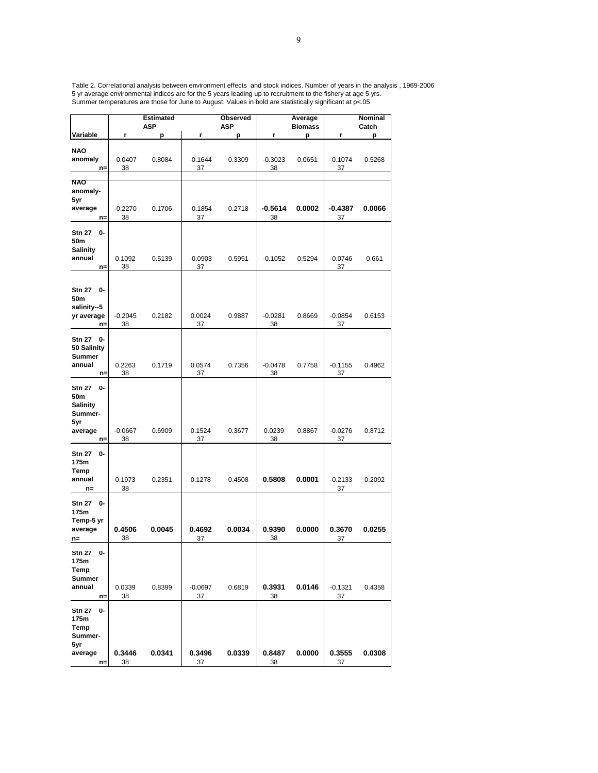Table 2. Correlational analysis between environment effects and stock indices. Number of years in the analysis , 1969-2006 5 yr average environmental indices are for the 5 years leading up to recruitment to the fishery at age 5 yrs. Summer temperatures are those for June to August. Values in bold are statistically significant at p<.05

|                             |              | <b>Estimated</b><br><b>ASP</b> |              | Observed<br>ASP |                 | Average             |                 | Nominal<br>Catch |
|-----------------------------|--------------|--------------------------------|--------------|-----------------|-----------------|---------------------|-----------------|------------------|
| Variable                    | r            | p                              | r            | p               | r               | <b>Biomass</b><br>р | r               | р                |
|                             |              |                                |              |                 |                 |                     |                 |                  |
| <b>NAO</b><br>anomaly       | $-0.0407$    | 0.8084                         | $-0.1644$    | 0.3309          | $-0.3023$       | 0.0651              | $-0.1074$       | 0.5268           |
| $n=$                        | 38           |                                | 37           |                 | 38              |                     | 37              |                  |
|                             |              |                                |              |                 |                 |                     |                 |                  |
| <b>NAO</b><br>anomaly-      |              |                                |              |                 |                 |                     |                 |                  |
| 5yr                         |              |                                |              |                 |                 |                     |                 |                  |
| average                     | $-0.2270$    | 0.1706                         | $-0.1854$    | 0.2718          | -0.5614         | 0.0002              | -0.4387         | 0.0066           |
| $n=$                        | 38           |                                | 37           |                 | 38              |                     | 37              |                  |
| 0-<br><b>Stn 27</b>         |              |                                |              |                 |                 |                     |                 |                  |
| 50m<br><b>Salinity</b>      |              |                                |              |                 |                 |                     |                 |                  |
| annual                      | 0.1092       | 0.5139                         | $-0.0903$    | 0.5951          | $-0.1052$       | 0.5294              | $-0.0746$       | 0.661            |
| $n=$                        | 38           |                                | 37           |                 |                 |                     | 37              |                  |
|                             |              |                                |              |                 |                 |                     |                 |                  |
| 0-<br><b>Stn 27</b>         |              |                                |              |                 |                 |                     |                 |                  |
| 50m                         |              |                                |              |                 |                 |                     |                 |                  |
| salinity--5<br>yr average   | $-0.2045$    | 0.2182                         | 0.0024       | 0.9887          | $-0.0281$       | 0.8669              | $-0.0854$       | 0.6153           |
| $n=$                        | 38           |                                | 37           |                 | 38              |                     | 37              |                  |
| <b>Stn 27</b><br>0-         |              |                                |              |                 |                 |                     |                 |                  |
| 50 Salinity                 |              |                                |              |                 |                 |                     |                 |                  |
| <b>Summer</b>               |              |                                |              |                 |                 |                     |                 |                  |
| annual<br>$n =$             | 0.2263<br>38 | 0.1719                         | 0.0574<br>37 | 0.7356          | $-0.0478$<br>38 | 0.7758              | $-0.1155$<br>37 | 0.4962           |
|                             |              |                                |              |                 |                 |                     |                 |                  |
| <b>Stn 27</b><br>0-<br>50m  |              |                                |              |                 |                 |                     |                 |                  |
| <b>Salinity</b>             |              |                                |              |                 |                 |                     |                 |                  |
| Summer-                     |              |                                |              |                 |                 |                     |                 |                  |
| 5yr<br>average              | $-0.0667$    | 0.6909                         | 0.1524       | 0.3677          | 0.0239          | 0.8867              | $-0.0276$       | 0.8712           |
| $n=$                        | 38           |                                | 37           |                 | 38              |                     | 37              |                  |
| <b>Stn 27</b><br>0-         |              |                                |              |                 |                 |                     |                 |                  |
| 175m                        |              |                                |              |                 |                 |                     |                 |                  |
| Temp                        |              |                                |              |                 |                 |                     |                 |                  |
| annual<br>n=                | 0.1973<br>38 | 0.2351                         | 0.1278       | 0.4508          | 0.5808          | 0.0001              | $-0.2133$<br>37 | 0.2092           |
|                             |              |                                |              |                 |                 |                     |                 |                  |
| <b>Stn 27</b><br>0-<br>175m |              |                                |              |                 |                 |                     |                 |                  |
| Temp-5 yr                   |              |                                |              |                 |                 |                     |                 |                  |
| average                     | 0.4506       | 0.0045                         | 0.4692       | 0.0034          | 0.9390          | 0.0000              | 0.3670          | 0.0255           |
| n=                          | 38           |                                | 37           |                 | 38              |                     | 37              |                  |
| Stn 27 0-                   |              |                                |              |                 |                 |                     |                 |                  |
| 175m                        |              |                                |              |                 |                 |                     |                 |                  |
| Temp<br><b>Summer</b>       |              |                                |              |                 |                 |                     |                 |                  |
| annual                      | 0.0339       | 0.8399                         | $-0.0697$    | 0.6819          | 0.3931          | 0.0146              | $-0.1321$       | 0.4358           |
| $n =$                       | 38           |                                | 37           |                 | 38              |                     | 37              |                  |
| 0-<br><b>Stn 27</b>         |              |                                |              |                 |                 |                     |                 |                  |
| 175m                        |              |                                |              |                 |                 |                     |                 |                  |
| Temp<br>Summer-             |              |                                |              |                 |                 |                     |                 |                  |
| 5yr                         |              |                                |              |                 |                 |                     |                 |                  |
| average                     | 0.3446       | 0.0341                         | 0.3496       | 0.0339          | 0.8487          | 0.0000              | 0.3555          | 0.0308           |
| $n=$                        | 38           |                                | 37           |                 | 38              |                     | 37              |                  |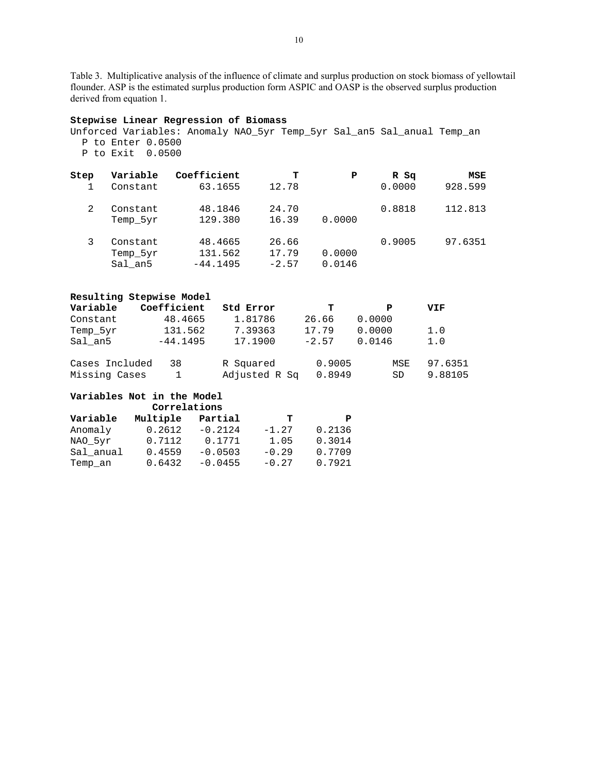Table 3. Multiplicative analysis of the influence of climate and surplus production on stock biomass of yellowtail flounder. ASP is the estimated surplus production form ASPIC and OASP is the observed surplus production derived from equation 1.

#### **Stepwise Linear Regression of Biomass**

Unforced Variables: Anomaly NAO\_5yr Temp\_5yr Sal\_an5 Sal\_anual Temp\_an P to Enter 0.0500 P to Exit 0.0500

| Step | Variable | Coefficient | т       | Р      | R Sq   | MSE     |
|------|----------|-------------|---------|--------|--------|---------|
|      | Constant | 63.1655     | 12.78   |        | 0.0000 | 928.599 |
| 2    | Constant | 48.1846     | 24.70   |        | 0.8818 | 112.813 |
|      | Temp 5yr | 129.380     | 16.39   | 0.0000 |        |         |
|      | Constant | 48.4665     | 26.66   |        | 0.9005 | 97.6351 |
|      | Temp 5yr | 131.562     | 17.79   | 0.0000 |        |         |
|      | Sal an5  | $-44.1495$  | $-2.57$ | 0.0146 |        |         |

|                                 | Resulting Stepwise Model |                            |                  |           |                    |
|---------------------------------|--------------------------|----------------------------|------------------|-----------|--------------------|
| Variable                        | Coefficient              | Std Error                  | т                | P         | VIF                |
| Constant                        | 48.4665                  | 1.81786                    | 26.66            | 0.0000    |                    |
| Temp 5yr                        | 131.562                  | 7.39363                    | 17.79            | 0.0000    | 1.0                |
| Sal an5                         | $-44.1495$               | 17.1900                    | $-2.57$          | 0.0146    | 1.0                |
| Cases Included<br>Missing Cases | 38                       | R Squared<br>Adjusted R Sq | 0.9005<br>0.8949 | MSE<br>SD | 97.6351<br>9.88105 |

# **Variables Not in the Model**

|           | Correlations |           |         |        |
|-----------|--------------|-----------|---------|--------|
| Variable  | Multiple     | Partial   | т       | P      |
| Anomaly   | 0.2612       | $-0.2124$ | $-1.27$ | 0.2136 |
| NAO 5yr   | 0.7112       | 0.1771    | 1.05    | 0.3014 |
| Sal anual | 0.4559       | $-0.0503$ | $-0.29$ | 0.7709 |
| Temp an   | 0.6432       | $-0.0455$ | $-0.27$ | 0.7921 |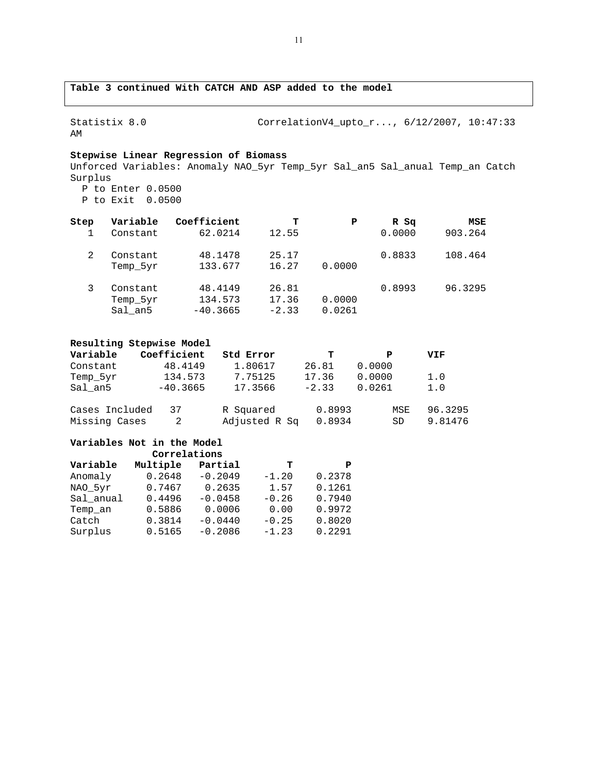# **Table 3 continued With CATCH AND ASP added to the model**

Statistix 8.0 CorrelationV4\_upto\_r..., 6/12/2007, 10:47:33 AM

# **Stepwise Linear Regression of Biomass**

Unforced Variables: Anomaly NAO\_5yr Temp\_5yr Sal\_an5 Sal\_anual Temp\_an Catch Surplus P to Enter 0.0500 P to Exit 0.0500

| Step | Variable                        | Coefficient                      | т                         | P                | R Sq   | MSE     |
|------|---------------------------------|----------------------------------|---------------------------|------------------|--------|---------|
|      | Constant                        | 62.0214                          | 12.55                     |                  | 0.0000 | 903.264 |
| 2    | Constant<br>Temp 5yr            | 48.1478<br>133.677               | 25.17<br>16.27            | 0.0000           | 0.8833 | 108.464 |
|      | Constant<br>Temp 5yr<br>Sal an5 | 48.4149<br>134.573<br>$-40.3665$ | 26.81<br>17.36<br>$-2.33$ | 0.0000<br>0.0261 | 0.8993 | 96.3295 |

### **Resulting Stepwise Model**

| Variable       | Coefficient | Std Error     | т       | P      | VIF     |
|----------------|-------------|---------------|---------|--------|---------|
| Constant       | 48.4149     | 1.80617       | 26.81   | 0.0000 |         |
| Temp 5yr       | 134.573     | 7.75125       | 17.36   | 0.0000 | 1.0     |
| Sal an5        | $-40.3665$  | 17.3566       | $-2.33$ | 0.0261 | 1.0     |
| Cases Included | 37          | R Squared     | 0.8993  | MSE    | 96.3295 |
| Missing Cases  | 2           | Adjusted R Sq | 0.8934  | SD     | 9.81476 |

#### **Variables Not in the Model**

|           | Correlations |           |         |        |
|-----------|--------------|-----------|---------|--------|
| Variable  | Multiple     | Partial   | т       | Р      |
| Anomaly   | 0.2648       | $-0.2049$ | $-1.20$ | 0.2378 |
| NAO 5yr   | 0.7467       | 0.2635    | 1.57    | 0.1261 |
| Sal anual | 0.4496       | $-0.0458$ | $-0.26$ | 0.7940 |
| Temp an   | 0.5886       | 0.0006    | 0.00    | 0.9972 |
| Catch     | 0.3814       | $-0.0440$ | $-0.25$ | 0.8020 |
| Surplus   | 0.5165       | $-0.2086$ | $-1.23$ | 0.2291 |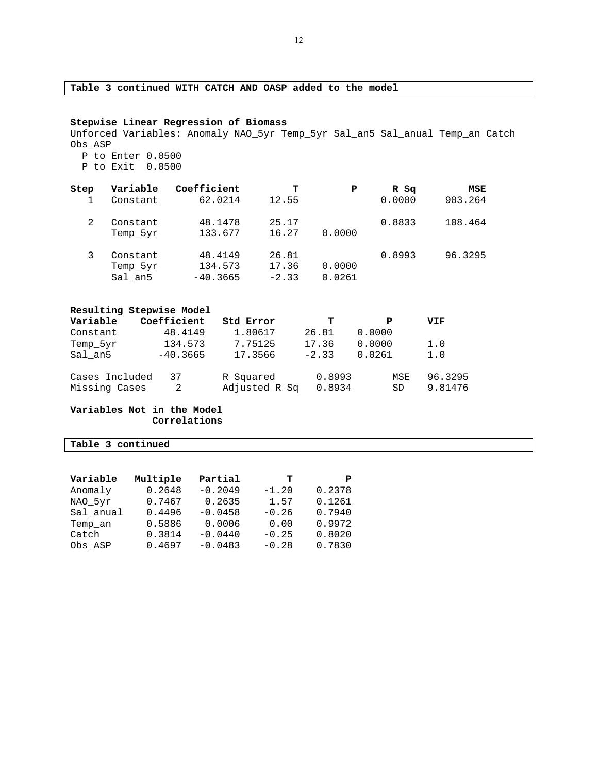# **Table 3 continued WITH CATCH AND OASP added to the model**

#### **Stepwise Linear Regression of Biomass**

Unforced Variables: Anomaly NAO\_5yr Temp\_5yr Sal\_an5 Sal\_anual Temp\_an Catch Obs\_ASP P to Enter 0.0500

P to Exit 0.0500

| Step | Variable | Coefficient | т       | Р      | R Sq   | MSE     |
|------|----------|-------------|---------|--------|--------|---------|
|      | Constant | 62.0214     | 12.55   |        | 0.0000 | 903.264 |
|      | Constant | 48.1478     | 25.17   |        | 0.8833 | 108.464 |
|      | Temp 5yr | 133.677     | 16.27   | 0.0000 |        |         |
|      | Constant | 48.4149     | 26.81   |        | 0.8993 | 96.3295 |
|      | Temp_5yr | 134.573     | 17.36   | 0.0000 |        |         |
|      | Sal an5  | $-40.3665$  | $-2.33$ | 0.0261 |        |         |

|                                 | Resulting Stepwise Model |                            |                  |            |                    |
|---------------------------------|--------------------------|----------------------------|------------------|------------|--------------------|
| Variable                        | Coefficient              | Std Error                  | т                | Р          | VIF                |
| Constant                        | 48.4149                  | 1.80617                    | 26.81            | 0.0000     |                    |
| Temp 5yr                        | 134.573                  | 7.75125                    | 17.36            | 0.0000     | 1.0                |
| Sal an5                         | $-40.3665$               | 17.3566                    | $-2.33$          | 0.0261     | 1.0                |
| Cases Included<br>Missing Cases | 37<br>2                  | R Squared<br>Adjusted R Sq | 0.8993<br>0.8934 | MSE<br>SD. | 96.3295<br>9.81476 |

**Variables Not in the Model Correlations** 

**Table 3 continued** 

| Variable  | Multiple | Partial   | - т     | P      |
|-----------|----------|-----------|---------|--------|
| Anomaly   | 0.2648   | $-0.2049$ | $-1.20$ | 0.2378 |
| NAO 5yr   | 0.7467   | 0.2635    | 1.57    | 0.1261 |
| Sal anual | 0.4496   | $-0.0458$ | $-0.26$ | 0.7940 |
| Temp an   | 0.5886   | 0.0006    | 0.00    | 0.9972 |
| Catch     | 0.3814   | $-0.0440$ | $-0.25$ | 0.8020 |
| Obs ASP   | 0.4697   | $-0.0483$ | $-0.28$ | 0.7830 |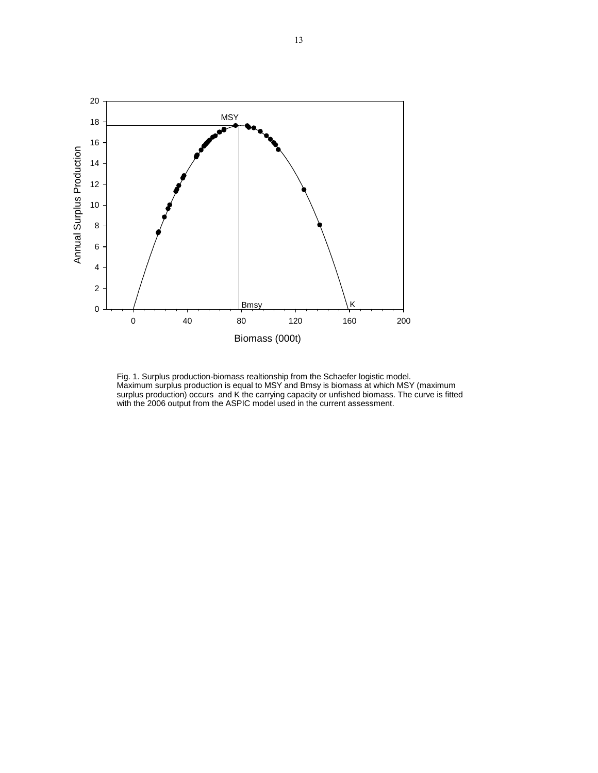

Fig. 1. Surplus production-biomass realtionship from the Schaefer logistic model. Maximum surplus production is equal to MSY and Bmsy is biomass at which MSY (maximum surplus production) occurs and K the carrying capacity or unfished biomass. The curve is fitted with the 2006 output from the ASPIC model used in the current assessment.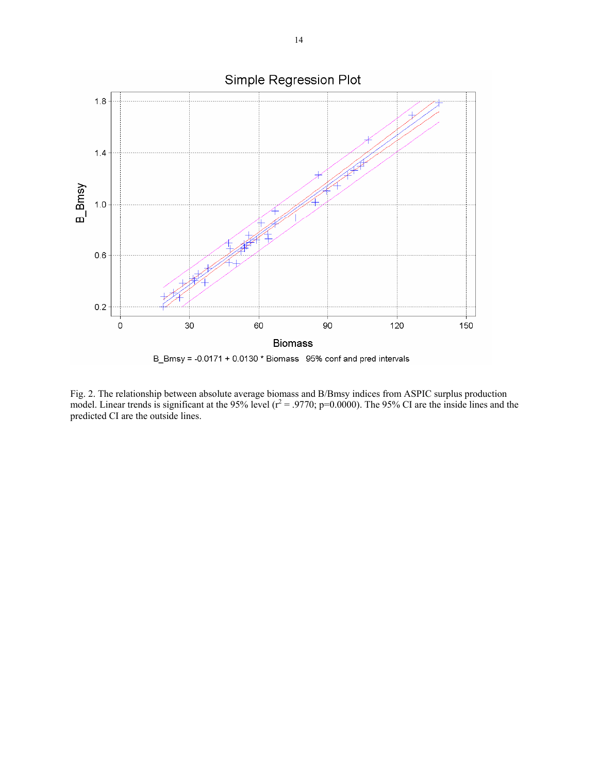

Fig. 2. The relationship between absolute average biomass and B/Bmsy indices from ASPIC surplus production model. Linear trends is significant at the 95% level ( $r^2$  = .9770; p=0.0000). The 95% CI are the inside lines and the predicted CI are the outside lines.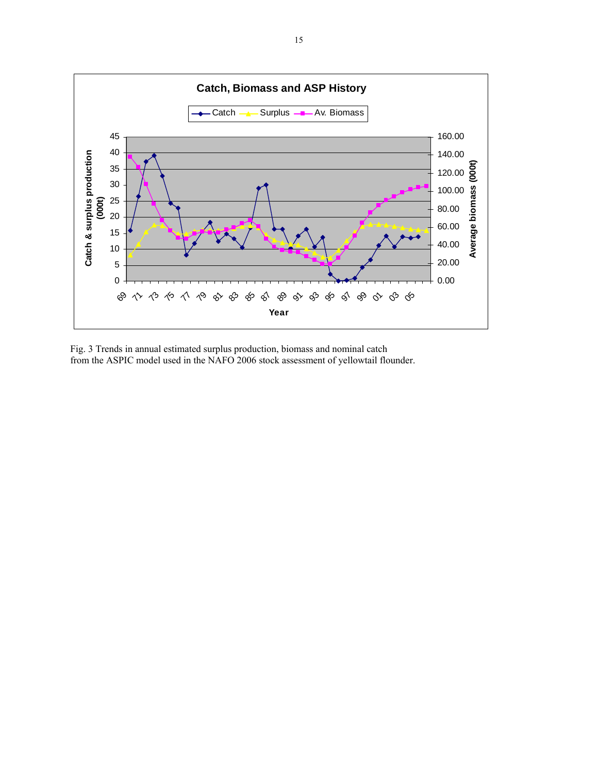

Fig. 3 Trends in annual estimated surplus production, biomass and nominal catch from the ASPIC model used in the NAFO 2006 stock assessment of yellowtail flounder.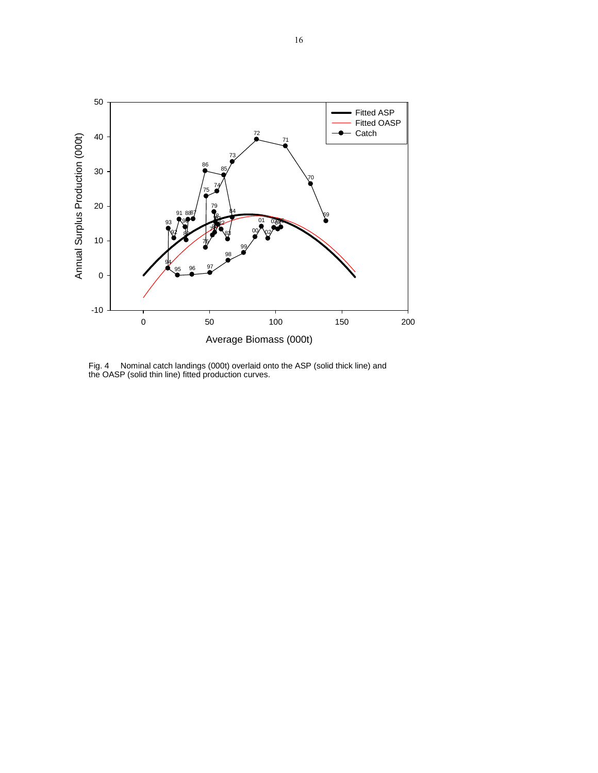

Fig. 4 Nominal catch landings (000t) overlaid onto the ASP (solid thick line) and the OASP (solid thin line) fitted production curves.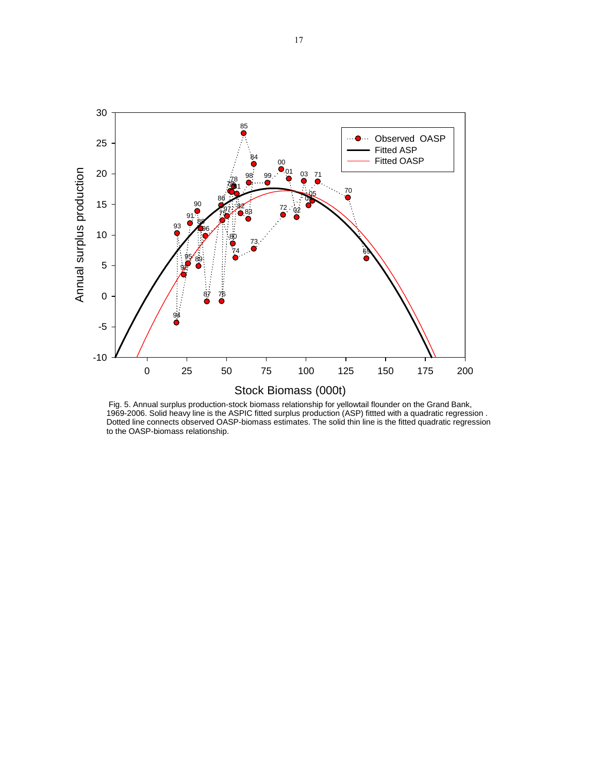

 Fig. 5. Annual surplus production-stock biomass relationship for yellowtail flounder on the Grand Bank, 1969-2006. Solid heavy line is the ASPIC fitted surplus production (ASP) fittted with a quadratic regression . Dotted line connects observed OASP-biomass estimates. The solid thin line is the fitted quadratic regression to the OASP-biomass relationship.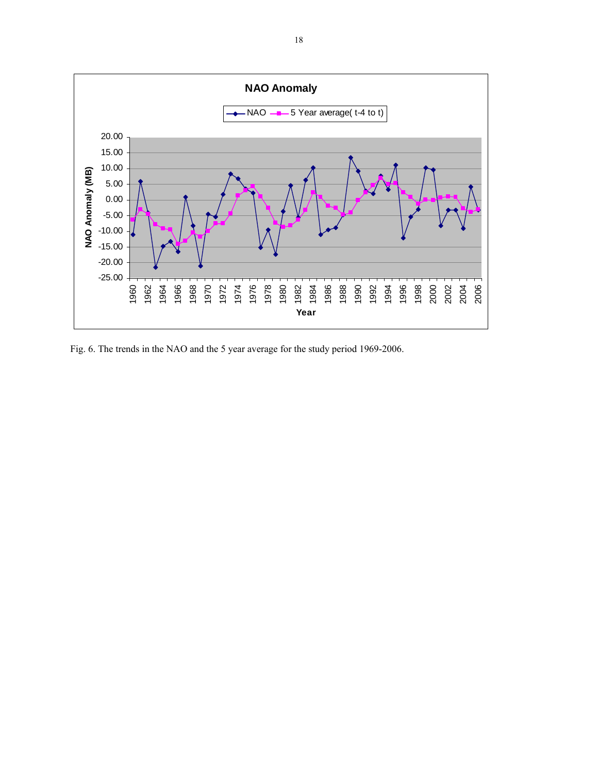

Fig. 6. The trends in the NAO and the 5 year average for the study period 1969-2006.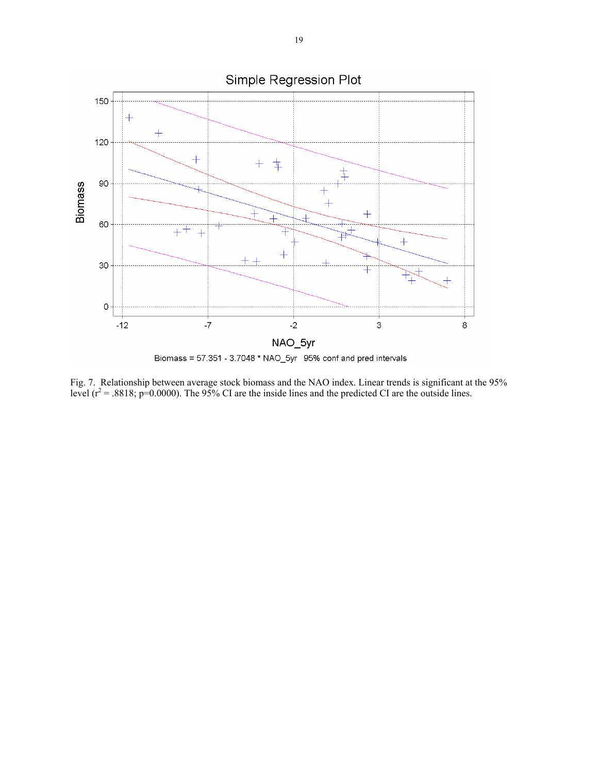

Fig. 7. Relationship between average stock biomass and the NAO index. Linear trends is significant at the 95% level ( $r^2$  = .8818; p=0.0000). The 95% CI are the inside lines and the predicted CI are the outside lines.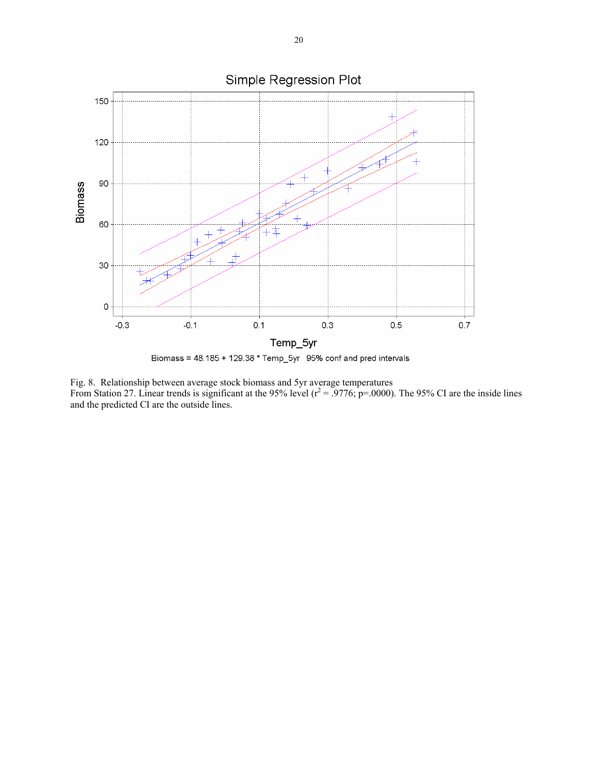

Fig. 8. Relationship between average stock biomass and 5yr average temperatures From Station 27. Linear trends is significant at the 95% level  $(r^2 = .9776; p = .0000)$ . The 95% CI are the inside lines and the predicted CI are the outside lines.